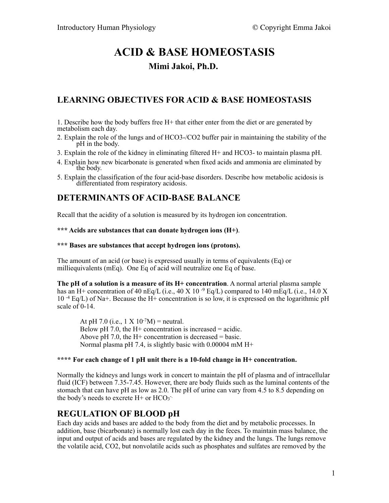# **ACID & BASE HOMEOSTASIS Mimi Jakoi, Ph.D.**

### **LEARNING OBJECTIVES FOR ACID & BASE HOMEOSTASIS**

1. Describe how the body buffers free H+ that either enter from the diet or are generated by metabolism each day.

- 2. Explain the role of the lungs and of HCO3-/CO2 buffer pair in maintaining the stability of the pH in the body.
- 3. Explain the role of the kidney in eliminating filtered H+ and HCO3- to maintain plasma pH.
- 4. Explain how new bicarbonate is generated when fixed acids and ammonia are eliminated by the body.
- 5. Explain the classification of the four acid-base disorders. Describe how metabolic acidosis is differentiated from respiratory acidosis.

### **DETERMINANTS OF ACID-BASE BALANCE**

Recall that the acidity of a solution is measured by its hydrogen ion concentration.

#### **\*\*\* Acids are substances that can donate hydrogen ions (H+)**.

#### **\*\*\* Bases are substances that accept hydrogen ions (protons).**

The amount of an acid (or base) is expressed usually in terms of equivalents (Eq) or milliequivalents (mEq). One Eq of acid will neutralize one Eq of base.

**The pH of a solution is a measure of its H+ concentration**. A normal arterial plasma sample has an H+ concentration of 40 nEq/L (i.e., 40 X 10<sup>-9</sup> Eq/L) compared to 140 mEq/L (i.e., 14.0 X  $10^{-4}$  Eq/L) of Na+. Because the H+ concentration is so low, it is expressed on the logarithmic pH scale of 0-14.

At pH 7.0 (i.e.,  $1 \text{ X } 10^{-7} \text{M}$ ) = neutral. Below pH 7.0, the  $H<sup>+</sup>$  concentration is increased = acidic. Above  $\overline{p}H$  7.0, the H+ concentration is decreased = basic. Normal plasma pH 7.4, is slightly basic with 0.00004 mM H+

#### **\*\*\*\* For each change of 1 pH unit there is a 10-fold change in H+ concentration.**

Normally the kidneys and lungs work in concert to maintain the pH of plasma and of intracellular fluid (ICF) between 7.35-7.45. However, there are body fluids such as the luminal contents of the stomach that can have pH as low as 2.0. The pH of urine can vary from 4.5 to 8.5 depending on the body's needs to excrete  $H<sup>+</sup>$  or  $HCO<sub>3</sub>$ .

### **REGULATION OF BLOOD pH**

Each day acids and bases are added to the body from the diet and by metabolic processes. In addition, base (bicarbonate) is normally lost each day in the feces. To maintain mass balance, the input and output of acids and bases are regulated by the kidney and the lungs. The lungs remove the volatile acid, CO2, but nonvolatile acids such as phosphates and sulfates are removed by the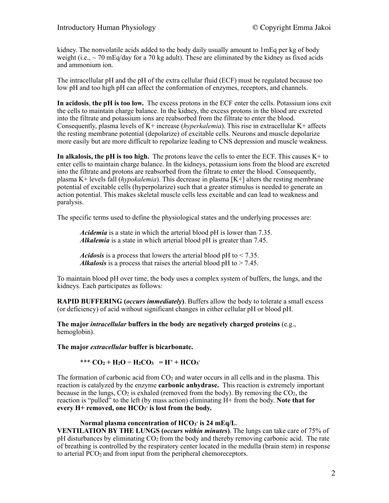kidney. The nonvolatile acids added to the body daily usually amount to 1mEq per kg of body weight (i.e.,  $\sim$  70 mEq/day for a 70 kg adult). These are eliminated by the kidney as fixed acids and ammonium ion.

The intracellular pH and the pH of the extra cellular fluid (ECF) must be regulated because too low pH and too high pH can affect the conformation of enzymes, receptors, and channels.

**In acidosis**, **the pH is too low.** The excess protons in the ECF enter the cells. Potassium ions exit the cells to maintain charge balance. In the kidney, the excess protons in the blood are excreted into the filtrate and potassium ions are reabsorbed from the filtrate to enter the blood. Consequently, plasma levels of K+ increase (*hyperkalemia*). This rise in extracellular K+ affects the resting membrane potential (depolarize) of excitable cells. Neurons and muscle depolarize more easily but are more difficult to repolarize leading to CNS depression and muscle weakness.

**In alkalosis, the pH is too high.** The protons leave the cells to enter the ECF. This causes K+ to enter cells to maintain charge balance. In the kidneys, potassium ions from the blood are excreted into the filtrate and protons are reabsorbed from the filtrate to enter the blood. Consequently, plasma K+ levels fall (*hypokalemia*). This decrease in plasma [K+] alters the resting membrane potential of excitable cells (hyperpolarize) such that a greater stimulus is needed to generate an action potential. This makes skeletal muscle cells less excitable and can lead to weakness and paralysis.

The specific terms used to define the physiological states and the underlying processes are:

*Acidemia* is a state in which the arterial blood pH is lower than 7.35. *Alkalemia* is a state in which arterial blood pH is greater than 7.45.

*Acidosis* is a process that lowers the arterial blood pH to < 7.35. Alkalosis is a process that raises the arterial blood pH to  $> 7.45$ .

To maintain blood pH over time, the body uses a complex system of buffers, the lungs, and the kidneys. Each participates as follows:

**RAPID BUFFERING (***occurs immediately***)**. Buffers allow the body to tolerate a small excess (or deficiency) of acid without significant changes in either cellular pH or blood pH.

**The major** *intracellular* **buffers in the body are negatively charged proteins** (e.g., hemoglobin).

**The major** *extracellular* **buffer is bicarbonate.** 

\*\*\*  $CO_2 + H_2O = H_2CO_3 = H^+ + HCO_3$ 

The formation of carbonic acid from  $CO<sub>2</sub>$  and water occurs in all cells and in the plasma. This reaction is catalyzed by the enzyme **carbonic anhydrase.** This reaction is extremely important because in the lungs,  $CO_2$  is exhaled (removed from the body). By removing the  $CO_2$ , the reaction is "pulled" to the left (by mass action) eliminating H+ from the body. **Note that for**  every H+ removed, one HCO<sub>3</sub><sup>-</sup> is lost from the body.

#### Normal plasma concentration of HCO<sub>3</sub> is 24 mEq/L.

**VENTILATION BY THE LUNGS (***occurs within minutes***)**. The lungs can take care of 75% of pH disturbances by eliminating  $CO<sub>2</sub>$  from the body and thereby removing carbonic acid. The rate of breathing is controlled by the respiratory center located in the medulla (brain stem) in response to arterial  $PCO<sub>2</sub>$  and from input from the peripheral chemoreceptors.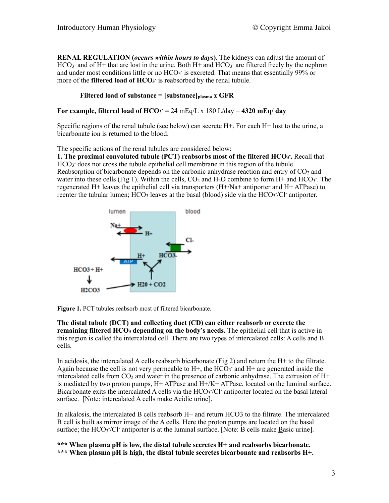**RENAL REGULATION (***occurs within hours to days***)**. The kidneys can adjust the amount of  $HCO<sub>3</sub>$  and of H+ that are lost in the urine. Both H+ and  $HCO<sub>3</sub>$  are filtered freely by the nephron and under most conditions little or no  $HCO<sub>3</sub>$  is excreted. That means that essentially 99% or more of the **filtered load of HCO<sub>3</sub>** is reabsorbed by the renal tubule.

#### Filtered load of substance = [substance]<sub>plasma</sub> x GFR

**For example, filtered load of**  $\text{HCO}_3$ **<sup>-</sup> = 24 mEq/L x 180 L/day = <b>4320 mEq/ day** 

Specific regions of the renal tubule (see below) can secrete H+. For each H+ lost to the urine, a bicarbonate ion is returned to the blood.

The specific actions of the renal tubules are considered below:

**1.** The proximal convoluted tubule (PCT) reabsorbs most of the filtered HCO<sub>3</sub>. Recall that HCO<sub>3</sub> does not cross the tubule epithelial cell membrane in this region of the tubule. Reabsorption of bicarbonate depends on the carbonic anhydrase reaction and entry of  $CO<sub>2</sub>$  and water into these cells (Fig 1). Within the cells,  $CO<sub>2</sub>$  and  $H<sub>2</sub>O$  combine to form  $H<sup>+</sup>$  and  $HCO<sub>3</sub>$ . The regenerated H+ leaves the epithelial cell via transporters (H+/Na+ antiporter and H+ ATPase) to reenter the tubular lumen; HCO<sub>3</sub> leaves at the basal (blood) side via the HCO<sub>3</sub><sup>-</sup>/Cl<sup>-</sup> antiporter.



**Figure 1.** PCT tubules reabsorb most of filtered bicarbonate.

**The distal tubule (DCT) and collecting duct (CD) can either reabsorb or excrete the remaining filtered HCO<sub>3</sub> depending on the body's needs.** The epithelial cell that is active in this region is called the intercalated cell. There are two types of intercalated cells: A cells and B cells.

In acidosis, the intercalated A cells reabsorb bicarbonate (Fig 2) and return the H+ to the filtrate. Again because the cell is not very permeable to  $H<sup>+</sup>$ , the  $HCO<sub>3</sub>$  and  $H<sup>+</sup>$  are generated inside the intercalated cells from  $CO<sub>2</sub>$  and water in the presence of carbonic anhydrase. The extrusion of  $H<sup>+</sup>$ is mediated by two proton pumps,  $H + ATP$ ase and  $H + /K + ATP$ ase, located on the luminal surface. Bicarbonate exits the intercalated A cells via the  $HCO<sub>3</sub>/Cl$  antiporter located on the basal lateral surface. [Note: intercalated A cells make Acidic urine].

In alkalosis, the intercalated B cells reabsorb H+ and return HCO3 to the filtrate. The intercalated B cell is built as mirror image of the A cells. Here the proton pumps are located on the basal surface; the HCO<sub>3</sub>-/Cl- antiporter is at the luminal surface. [Note: B cells make **Basic urine**].

**\*\*\* When plasma pH is low, the distal tubule secretes H+ and reabsorbs bicarbonate. \*\*\* When plasma pH is high, the distal tubule secretes bicarbonate and reabsorbs H+.**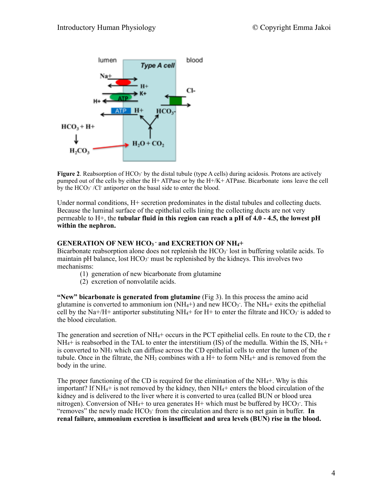

**Figure 2**. Reabsorption of HCO<sub>3</sub> by the distal tubule (type A cells) during acidosis. Protons are actively pumped out of the cells by either the H+ ATPase or by the H+/K+ ATPase. Bicarbonate ions leave the cell by the  $HCO<sub>3</sub>$  /Cl antiporter on the basal side to enter the blood.

Under normal conditions, H+ secretion predominates in the distal tubules and collecting ducts. Because the luminal surface of the epithelial cells lining the collecting ducts are not very permeable to H+, the **tubular fluid in this region can reach a pH of 4.0 - 4.5, the lowest pH within the nephron.** 

#### GENERATION OF NEW HCO<sub>3</sub> and EXCRETION OF NH<sub>4</sub>+

Bicarbonate reabsorption alone does not replenish the HCO<sub>3</sub><sup>-</sup> lost in buffering volatile acids. To maintain pH balance, lost HCO<sub>3</sub> must be replenished by the kidneys. This involves two mechanisms:

- (1) generation of new bicarbonate from glutamine
- (2) excretion of nonvolatile acids.

**"New" bicarbonate is generated from glutamine** (Fig 3). In this process the amino acid glutamine is converted to ammonium ion  $(NH_4+)$  and new  $HCO_3$ . The  $NH_4+$  exits the epithelial cell by the Na+/H+ antiporter substituting NH<sub>4</sub>+ for H+ to enter the filtrate and  $HCO<sub>3</sub>$  is added to the blood circulation.

The generation and secretion of NH4+ occurs in the PCT epithelial cells. En route to the CD, the r  $NH_4$ + is reabsorbed in the TAL to enter the interstitium (IS) of the medulla. Within the IS, NH<sub>4</sub> + is converted to  $NH_3$  which can diffuse across the CD epithelial cells to enter the lumen of the tubule. Once in the filtrate, the NH<sub>3</sub> combines with a  $H<sup>+</sup>$  to form NH<sub>4</sub>+ and is removed from the body in the urine.

The proper functioning of the CD is required for the elimination of the  $NH_4+$ . Why is this important? If  $NH_4$ + is not removed by the kidney, then  $NH_4$ + enters the blood circulation of the kidney and is delivered to the liver where it is converted to urea (called BUN or blood urea nitrogen). Conversion of NH<sub>4</sub>+ to urea generates H+ which must be buffered by  $HCO_3$ . This "removes" the newly made HCO<sub>3</sub> from the circulation and there is no net gain in buffer. In **renal failure, ammonium excretion is insufficient and urea levels (BUN) rise in the blood.**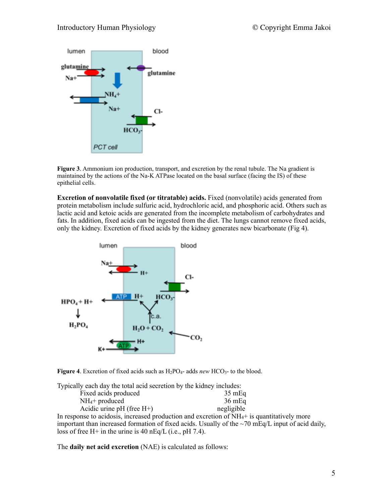

**Figure 3**. Ammonium ion production, transport, and excretion by the renal tubule. The Na gradient is maintained by the actions of the Na-K ATPase located on the basal surface (facing the IS) of these epithelial cells.

**Excretion of nonvolatile fixed (or titratable) acids.** Fixed (nonvolatile) acids generated from protein metabolism include sulfuric acid, hydrochloric acid, and phosphoric acid. Others such as lactic acid and ketoic acids are generated from the incomplete metabolism of carbohydrates and fats. In addition, fixed acids can be ingested from the diet. The lungs cannot remove fixed acids, only the kidney. Excretion of fixed acids by the kidney generates new bicarbonate (Fig 4).



**Figure 4**. Excretion of fixed acids such as H<sub>2</sub>PO<sub>4</sub>- adds *new* HCO<sub>3</sub>- to the blood.

Typically each day the total acid secretion by the kidney includes: Fixed acids produced 35 mEq NH4+ produced 36 mEq Acidic urine  $pH$  (free  $H<sup>+</sup>$ ) negligible

In response to acidosis, increased production and excretion of NH4+ is quantitatively more important than increased formation of fixed acids. Usually of the  $\sim$ 70 mEq/L input of acid daily, loss of free H+ in the urine is 40 nEq/L (i.e.,  $pH$  7.4).

The **daily net acid excretion** (NAE) is calculated as follows: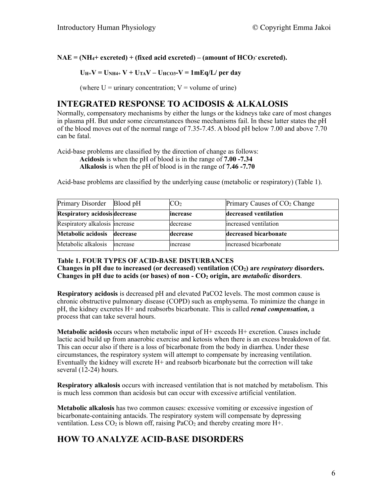#### $NAE = (NH_4 + expected) + (fixed acid excreted) - (amount of HCO<sub>3</sub> excreted).$

#### $U_{H+}V = U_{NH4+}V + U_{TA}V - U_{HCO3} - V = 1mEq/L/per$  day

(where  $U =$  urinary concentration;  $V =$  volume of urine)

## **INTEGRATED RESPONSE TO ACIDOSIS & ALKALOSIS**

Normally, compensatory mechanisms by either the lungs or the kidneys take care of most changes in plasma pH. But under some circumstances those mechanisms fail. In these latter states the pH of the blood moves out of the normal range of 7.35-7.45. A blood pH below 7.00 and above 7.70 can be fatal.

Acid-base problems are classified by the direction of change as follows:

 **Acidosis** is when the pH of blood is in the range of **7.00 -7.34**

 **Alkalosis** is when the pH of blood is in the range of **7.46 -7.70**

Acid-base problems are classified by the underlying cause (metabolic or respiratory) (Table 1).

| Primary Disorder               | Blood pH | CO <sub>2</sub>       | Primary Causes of CO <sub>2</sub> Change |
|--------------------------------|----------|-----------------------|------------------------------------------|
| Respiratory acidosis decrease  |          | increase              | decreased ventilation                    |
| Respiratory alkalosis increase |          | decrease              | increased ventilation                    |
| Metabolic acidosis             | decrease | decrease              | decreased bicarbonate                    |
| Metabolic alkalosis            | increase | <i><u>ncrease</u></i> | increased bicarbonate                    |

#### **Table 1. FOUR TYPES OF ACID-BASE DISTURBANCES**

**Changes in pH due to increased (or decreased) ventilation (CO2) are** *respiratory* **disorders. Changes in pH due to acids (or bases) of non - CO2 origin, are** *metabolic* **disorders**.

**Respiratory acidosis** is decreased pH and elevated PaCO2 levels. The most common cause is chronic obstructive pulmonary disease (COPD) such as emphysema. To minimize the change in pH, the kidney excretes H+ and reabsorbs bicarbonate. This is called *renal compensation,* a process that can take several hours.

**Metabolic acidosis** occurs when metabolic input of H+ exceeds H+ excretion. Causes include lactic acid build up from anaerobic exercise and ketosis when there is an excess breakdown of fat. This can occur also if there is a loss of bicarbonate from the body in diarrhea. Under these circumstances, the respiratory system will attempt to compensate by increasing ventilation. Eventually the kidney will excrete  $H<sup>+</sup>$  and reabsorb bicarbonate but the correction will take several (12-24) hours.

**Respiratory alkalosis** occurs with increased ventilation that is not matched by metabolism. This is much less common than acidosis but can occur with excessive artificial ventilation.

**Metabolic alkalosis** has two common causes: excessive vomiting or excessive ingestion of bicarbonate-containing antacids. The respiratory system will compensate by depressing ventilation. Less  $CO<sub>2</sub>$  is blown off, raising PaCO<sub>2</sub> and thereby creating more H<sup>+</sup>.

## **HOW TO ANALYZE ACID-BASE DISORDERS**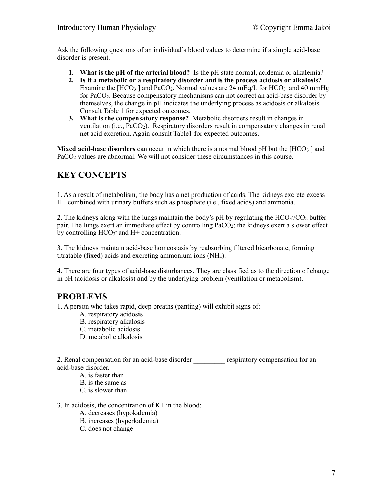Ask the following questions of an individual's blood values to determine if a simple acid-base disorder is present.

- **1. What is the pH of the arterial blood?** Is the pH state normal, acidemia or alkalemia?
- **2. Is it a metabolic or a respiratory disorder and is the process acidosis or alkalosis?**  Examine the  $[HCO_3^-]$  and PaCO<sub>2</sub>. Normal values are 24 mEq/L for  $HCO_3^-$  and 40 mmHg for PaCO<sub>2</sub>. Because compensatory mechanisms can not correct an acid-base disorder by themselves, the change in pH indicates the underlying process as acidosis or alkalosis. Consult Table 1 for expected outcomes.
- **3. What is the compensatory response?** Metabolic disorders result in changes in ventilation (i.e., PaCO2). Respiratory disorders result in compensatory changes in renal net acid excretion. Again consult Table1 for expected outcomes.

Mixed acid-base disorders can occur in which there is a normal blood pH but the [HCO<sub>3</sub><sup>-</sup>] and PaCO2 values are abnormal. We will not consider these circumstances in this course.

## **KEY CONCEPTS**

1. As a result of metabolism, the body has a net production of acids. The kidneys excrete excess H+ combined with urinary buffers such as phosphate (i.e., fixed acids) and ammonia.

2. The kidneys along with the lungs maintain the body's pH by regulating the  $HCO<sub>3</sub>/CO<sub>2</sub>$  buffer pair. The lungs exert an immediate effect by controlling  $PaCO<sub>2</sub>$ ; the kidneys exert a slower effect by controlling  $HCO<sub>3</sub>$  and  $H<sub>+</sub>$  concentration.

3. The kidneys maintain acid-base homeostasis by reabsorbing filtered bicarbonate, forming titratable (fixed) acids and excreting ammonium ions (NH4).

4. There are four types of acid-base disturbances. They are classified as to the direction of change in pH (acidosis or alkalosis) and by the underlying problem (ventilation or metabolism).

## **PROBLEMS**

1. A person who takes rapid, deep breaths (panting) will exhibit signs of:

- A. respiratory acidosis
- B. respiratory alkalosis
- C. metabolic acidosis
- D. metabolic alkalosis

2. Renal compensation for an acid-base disorder respiratory compensation for an acid-base disorder.

- A. is faster than
- B. is the same as
- C. is slower than

3. In acidosis, the concentration of  $K<sup>+</sup>$  in the blood:

- A. decreases (hypokalemia)
- B. increases (hyperkalemia)
- C. does not change